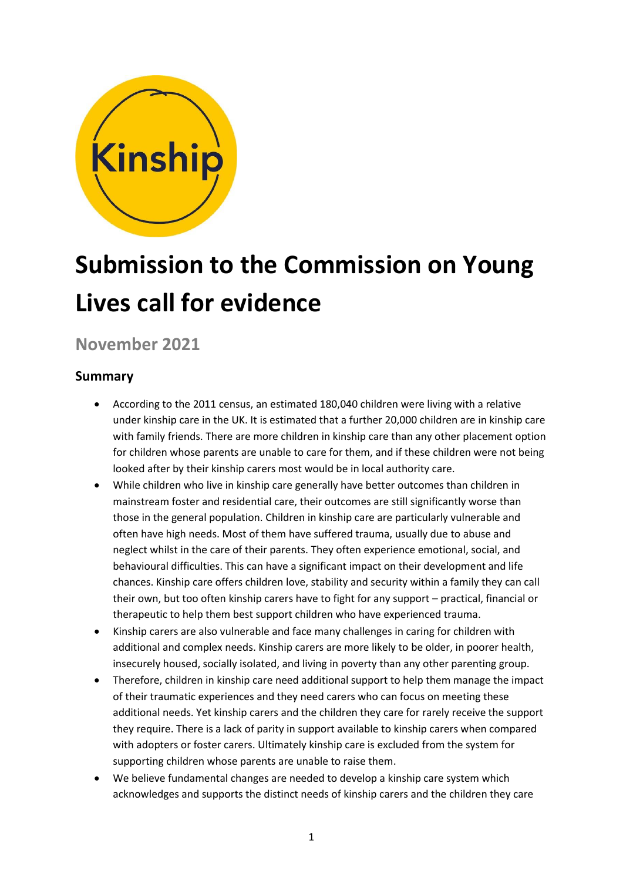

# **Submission to the Commission on Young Lives call for evidence**

**November 2021**

# **Summary**

- According to the 2011 census, an estimated 180,040 children were living with a relative under kinship care in the UK. It is estimated that a further 20,000 children are in kinship care with family friends. There are more children in kinship care than any other placement option for children whose parents are unable to care for them, and if these children were not being looked after by their kinship carers most would be in local authority care.
- While children who live in kinship care generally have better outcomes than children in mainstream foster and residential care, their outcomes are still significantly worse than those in the general population. Children in kinship care are particularly vulnerable and often have high needs. Most of them have suffered trauma, usually due to abuse and neglect whilst in the care of their parents. They often experience emotional, social, and behavioural difficulties. This can have a significant impact on their development and life chances. Kinship care offers children love, stability and security within a family they can call their own, but too often kinship carers have to fight for any support – practical, financial or therapeutic to help them best support children who have experienced trauma.
- Kinship carers are also vulnerable and face many challenges in caring for children with additional and complex needs. Kinship carers are more likely to be older, in poorer health, insecurely housed, socially isolated, and living in poverty than any other parenting group.
- Therefore, children in kinship care need additional support to help them manage the impact of their traumatic experiences and they need carers who can focus on meeting these additional needs. Yet kinship carers and the children they care for rarely receive the support they require. There is a lack of parity in support available to kinship carers when compared with adopters or foster carers. Ultimately kinship care is excluded from the system for supporting children whose parents are unable to raise them.
- We believe fundamental changes are needed to develop a kinship care system which acknowledges and supports the distinct needs of kinship carers and the children they care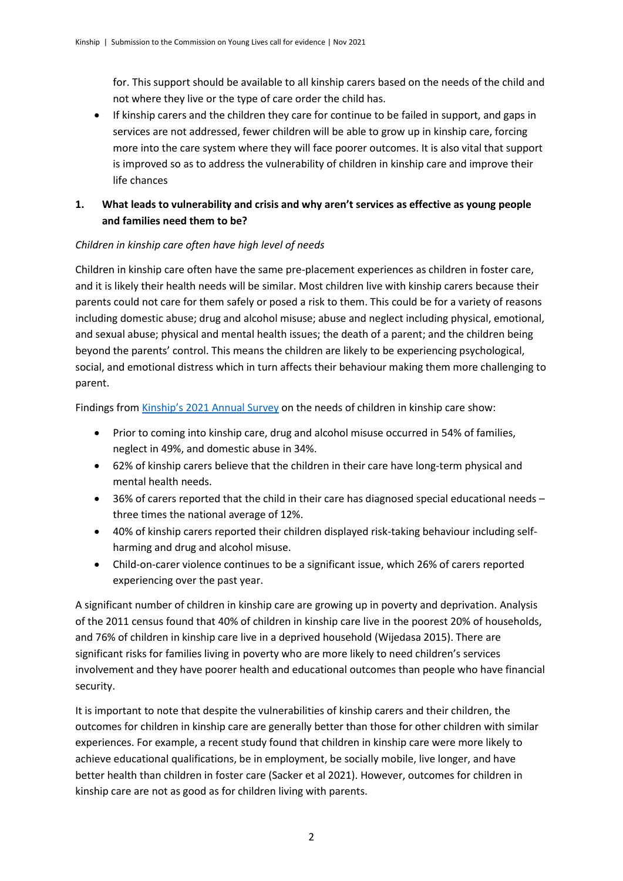for. This support should be available to all kinship carers based on the needs of the child and not where they live or the type of care order the child has.

• If kinship carers and the children they care for continue to be failed in support, and gaps in services are not addressed, fewer children will be able to grow up in kinship care, forcing more into the care system where they will face poorer outcomes. It is also vital that support is improved so as to address the vulnerability of children in kinship care and improve their life chances

## **1. What leads to vulnerability and crisis and why aren't services as effective as young people and families need them to be?**

#### *Children in kinship care often have high level of needs*

Children in kinship care often have the same pre-placement experiences as children in foster care, and it is likely their health needs will be similar. Most children live with kinship carers because their parents could not care for them safely or posed a risk to them. This could be for a variety of reasons including domestic abuse; drug and alcohol misuse; abuse and neglect including physical, emotional, and sexual abuse; physical and mental health issues; the death of a parent; and the children being beyond the parents' control. This means the children are likely to be experiencing psychological, social, and emotional distress which in turn affects their behaviour making them more challenging to parent.

Findings from [Kinship's 2021 Annual Survey](https://kinship.org.uk/kinship-annual-survey-2021/) on the needs of children in kinship care show:

- Prior to coming into kinship care, drug and alcohol misuse occurred in 54% of families, neglect in 49%, and domestic abuse in 34%.
- 62% of kinship carers believe that the children in their care have long-term physical and mental health needs.
- 36% of carers reported that the child in their care has diagnosed special educational needs three times the national average of 12%.
- 40% of kinship carers reported their children displayed risk-taking behaviour including selfharming and drug and alcohol misuse.
- Child-on-carer violence continues to be a significant issue, which 26% of carers reported experiencing over the past year.

A significant number of children in kinship care are growing up in poverty and deprivation. Analysis of the 2011 census found that 40% of children in kinship care live in the poorest 20% of households, and 76% of children in kinship care live in a deprived household (Wijedasa 2015). There are significant risks for families living in poverty who are more likely to need children's services involvement and they have poorer health and educational outcomes than people who have financial security.

It is important to note that despite the vulnerabilities of kinship carers and their children, the outcomes for children in kinship care are generally better than those for other children with similar experiences. For example, a recent study found that children in kinship care were more likely to achieve educational qualifications, be in employment, be socially mobile, live longer, and have better health than children in foster care (Sacker et al 2021). However, outcomes for children in kinship care are not as good as for children living with parents.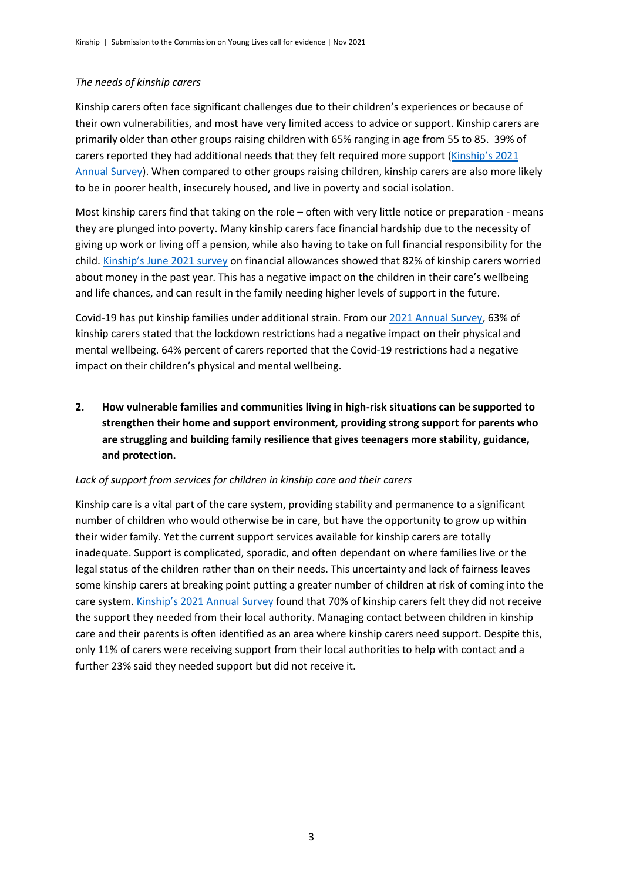#### *The needs of kinship carers*

Kinship carers often face significant challenges due to their children's experiences or because of their own vulnerabilities, and most have very limited access to advice or support. Kinship carers are primarily older than other groups raising children with 65% ranging in age from 55 to 85. 39% of carers reported they had additional needs that they felt required more support ([Kinship's 2021](https://kinship.org.uk/kinship-annual-survey-2021/)  [Annual Survey\)](https://kinship.org.uk/kinship-annual-survey-2021/). When compared to other groups raising children, kinship carers are also more likely to be in poorer health, insecurely housed, and live in poverty and social isolation.

Most kinship carers find that taking on the role – often with very little notice or preparation - means they are plunged into poverty. Many kinship carers face financial hardship due to the necessity of giving up work or living off a pension, while also having to take on full financial responsibility for the child. Kinship's [June 2021 survey](https://kinship.org.uk/financial-survey/) on financial allowances showed that 82% of kinship carers worried about money in the past year. This has a negative impact on the children in their care's wellbeing and life chances, and can result in the family needing higher levels of support in the future.

Covid-19 has put kinship families under additional strain. From our [2021 Annual Survey,](https://kinship.org.uk/kinship-annual-survey-2021/) 63% of kinship carers stated that the lockdown restrictions had a negative impact on their physical and mental wellbeing. 64% percent of carers reported that the Covid-19 restrictions had a negative impact on their children's physical and mental wellbeing.

**2. How vulnerable families and communities living in high-risk situations can be supported to strengthen their home and support environment, providing strong support for parents who are struggling and building family resilience that gives teenagers more stability, guidance, and protection.** 

#### *Lack of support from services for children in kinship care and their carers*

Kinship care is a vital part of the care system, providing stability and permanence to a significant number of children who would otherwise be in care, but have the opportunity to grow up within their wider family. Yet the current support services available for kinship carers are totally inadequate. Support is complicated, sporadic, and often dependant on where families live or the legal status of the children rather than on their needs. This uncertainty and lack of fairness leaves some kinship carers at breaking point putting a greater number of children at risk of coming into the care system. [Kinship's 2021 Annual Survey](https://kinship.org.uk/kinship-annual-survey-2021/) found that 70% of kinship carers felt they did not receive the support they needed from their local authority. Managing contact between children in kinship care and their parents is often identified as an area where kinship carers need support. Despite this, only 11% of carers were receiving support from their local authorities to help with contact and a further 23% said they needed support but did not receive it.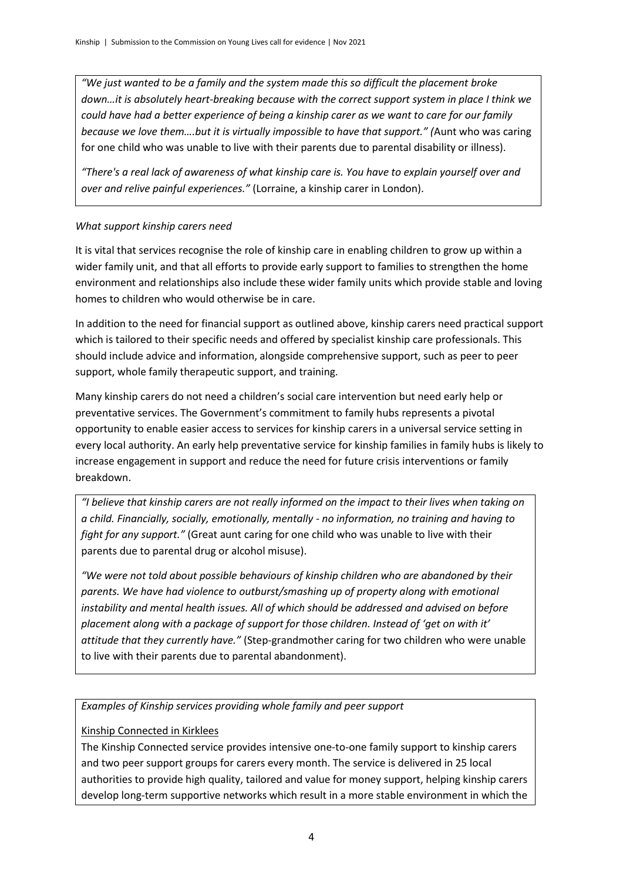*"We just wanted to be a family and the system made this so difficult the placement broke down…it is absolutely heart-breaking because with the correct support system in place I think we could have had a better experience of being a kinship carer as we want to care for our family because we love them….but it is virtually impossible to have that support." (*Aunt who was caring for one child who was unable to live with their parents due to parental disability or illness).

*"There's a real lack of awareness of what kinship care is. You have to explain yourself over and over and relive painful experiences."* (Lorraine, a kinship carer in London).

#### *What support kinship carers need*

It is vital that services recognise the role of kinship care in enabling children to grow up within a wider family unit, and that all efforts to provide early support to families to strengthen the home environment and relationships also include these wider family units which provide stable and loving homes to children who would otherwise be in care.

In addition to the need for financial support as outlined above, kinship carers need practical support which is tailored to their specific needs and offered by specialist kinship care professionals. This should include advice and information, alongside comprehensive support, such as peer to peer support, whole family therapeutic support, and training.

Many kinship carers do not need a children's social care intervention but need early help or preventative services. The Government's commitment to family hubs represents a pivotal opportunity to enable easier access to services for kinship carers in a universal service setting in every local authority. An early help preventative service for kinship families in family hubs is likely to increase engagement in support and reduce the need for future crisis interventions or family breakdown.

*"I believe that kinship carers are not really informed on the impact to their lives when taking on a child. Financially, socially, emotionally, mentally - no information, no training and having to fight for any support."* (Great aunt caring for one child who was unable to live with their parents due to parental drug or alcohol misuse).

*"We were not told about possible behaviours of kinship children who are abandoned by their parents. We have had violence to outburst/smashing up of property along with emotional instability and mental health issues. All of which should be addressed and advised on before placement along with a package of support for those children. Instead of 'get on with it' attitude that they currently have."* (Step-grandmother caring for two children who were unable to live with their parents due to parental abandonment).

*Examples of Kinship services providing whole family and peer support*

## Kinship Connected in Kirklees

The Kinship Connected service provides intensive one-to-one family support to kinship carers and two peer support groups for carers every month. The service is delivered in 25 local authorities to provide high quality, tailored and value for money support, helping kinship carers develop long-term supportive networks which result in a more stable environment in which the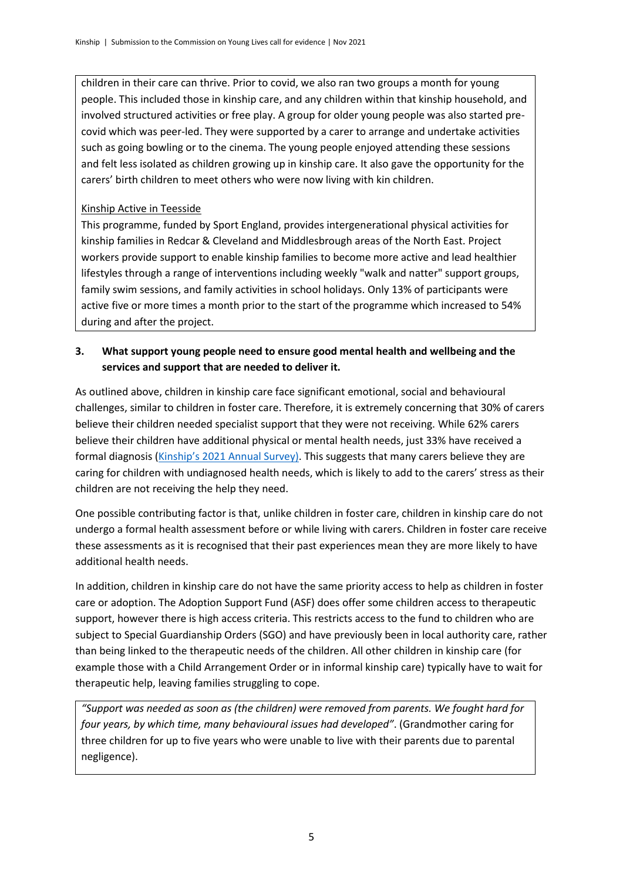children in their care can thrive. Prior to covid, we also ran two groups a month for young people. This included those in kinship care, and any children within that kinship household, and involved structured activities or free play. A group for older young people was also started precovid which was peer-led. They were supported by a carer to arrange and undertake activities such as going bowling or to the cinema. The young people enjoyed attending these sessions and felt less isolated as children growing up in kinship care. It also gave the opportunity for the carers' birth children to meet others who were now living with kin children.

#### Kinship Active in Teesside

This programme, funded by Sport England, provides intergenerational physical activities for kinship families in Redcar & Cleveland and Middlesbrough areas of the North East. Project workers provide support to enable kinship families to become more active and lead healthier lifestyles through a range of interventions including weekly "walk and natter" support groups, family swim sessions, and family activities in school holidays. Only 13% of participants were active five or more times a month prior to the start of the programme which increased to 54% during and after the project.

#### **3. What support young people need to ensure good mental health and wellbeing and the services and support that are needed to deliver it.**

As outlined above, children in kinship care face significant emotional, social and behavioural challenges, similar to children in foster care. Therefore, it is extremely concerning that 30% of carers believe their children needed specialist support that they were not receiving. While 62% carers believe their children have additional physical or mental health needs, just 33% have received a formal diagnosis ([Kinship's 2021 Annual Survey\)](https://kinship.org.uk/kinship-annual-survey-2021/). This suggests that many carers believe they are caring for children with undiagnosed health needs, which is likely to add to the carers' stress as their children are not receiving the help they need.

One possible contributing factor is that, unlike children in foster care, children in kinship care do not undergo a formal health assessment before or while living with carers. Children in foster care receive these assessments as it is recognised that their past experiences mean they are more likely to have additional health needs.

In addition, children in kinship care do not have the same priority access to help as children in foster care or adoption. The Adoption Support Fund (ASF) does offer some children access to therapeutic support, however there is high access criteria. This restricts access to the fund to children who are subject to Special Guardianship Orders (SGO) and have previously been in local authority care, rather than being linked to the therapeutic needs of the children. All other children in kinship care (for example those with a Child Arrangement Order or in informal kinship care) typically have to wait for therapeutic help, leaving families struggling to cope.

*"Support was needed as soon as (the children) were removed from parents. We fought hard for four years, by which time, many behavioural issues had developed"*. (Grandmother caring for three children for up to five years who were unable to live with their parents due to parental negligence).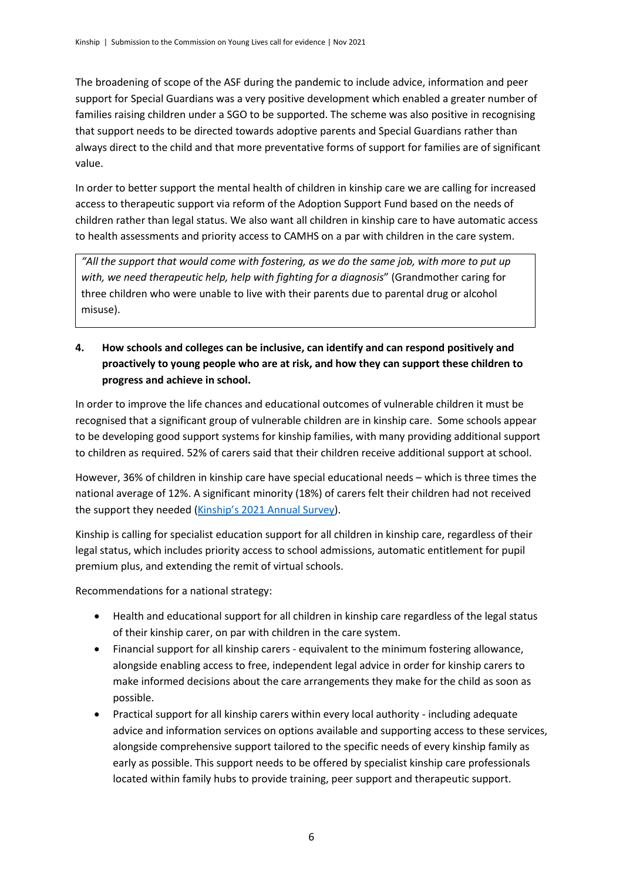The broadening of scope of the ASF during the pandemic to include advice, information and peer support for Special Guardians was a very positive development which enabled a greater number of families raising children under a SGO to be supported. The scheme was also positive in recognising that support needs to be directed towards adoptive parents and Special Guardians rather than always direct to the child and that more preventative forms of support for families are of significant value.

In order to better support the mental health of children in kinship care we are calling for increased access to therapeutic support via reform of the Adoption Support Fund based on the needs of children rather than legal status. We also want all children in kinship care to have automatic access to health assessments and priority access to CAMHS on a par with children in the care system.

*"All the support that would come with fostering, as we do the same job, with more to put up with, we need therapeutic help, help with fighting for a diagnosis*" (Grandmother caring for three children who were unable to live with their parents due to parental drug or alcohol misuse).

**4. How schools and colleges can be inclusive, can identify and can respond positively and proactively to young people who are at risk, and how they can support these children to progress and achieve in school.**

In order to improve the life chances and educational outcomes of vulnerable children it must be recognised that a significant group of vulnerable children are in kinship care. Some schools appear to be developing good support systems for kinship families, with many providing additional support to children as required. 52% of carers said that their children receive additional support at school.

However, 36% of children in kinship care have special educational needs – which is three times the national average of 12%. A significant minority (18%) of carers felt their children had not received the support they needed ([Kinship's 2021 Annual Survey](https://kinship.org.uk/kinship-annual-survey-2021/)).

Kinship is calling for specialist education support for all children in kinship care, regardless of their legal status, which includes priority access to school admissions, automatic entitlement for pupil premium plus, and extending the remit of virtual schools.

Recommendations for a national strategy:

- Health and educational support for all children in kinship care regardless of the legal status of their kinship carer, on par with children in the care system.
- Financial support for all kinship carers equivalent to the minimum fostering allowance, alongside enabling access to free, independent legal advice in order for kinship carers to make informed decisions about the care arrangements they make for the child as soon as possible.
- Practical support for all kinship carers within every local authority including adequate advice and information services on options available and supporting access to these services, alongside comprehensive support tailored to the specific needs of every kinship family as early as possible. This support needs to be offered by specialist kinship care professionals located within family hubs to provide training, peer support and therapeutic support.